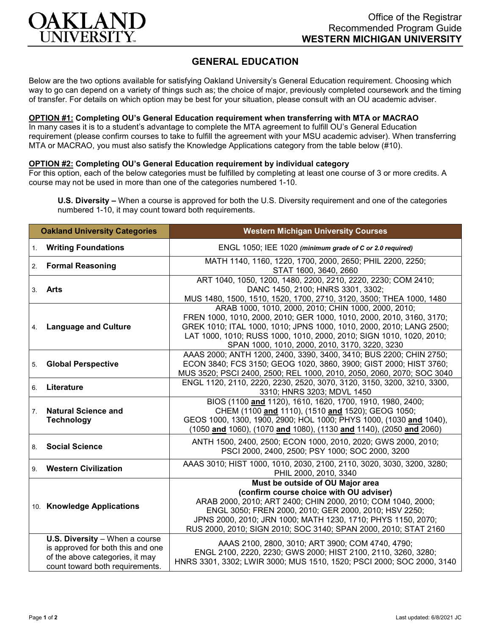

## **GENERAL EDUCATION**

Below are the two options available for satisfying Oakland University's General Education requirement. Choosing which way to go can depend on a variety of things such as; the choice of major, previously completed coursework and the timing of transfer. For details on which option may be best for your situation, please consult with an OU academic adviser.

## **OPTION #1: Completing OU's General Education requirement when transferring with MTA or MACRAO**

In many cases it is to a student's advantage to complete the MTA agreement to fulfill OU's General Education requirement (please confirm courses to take to fulfill the agreement with your MSU academic adviser). When transferring MTA or MACRAO, you must also satisfy the Knowledge Applications category from the table below (#10).

## **OPTION #2: Completing OU's General Education requirement by individual category**

For this option, each of the below categories must be fulfilled by completing at least one course of 3 or more credits. A course may not be used in more than one of the categories numbered 1-10.

**U.S. Diversity –** When a course is approved for both the U.S. Diversity requirement and one of the categories numbered 1-10, it may count toward both requirements.

| <b>Oakland University Categories</b> |                                                                                                                                           | <b>Western Michigan University Courses</b>                                                                                                                                                                                                                                                                                             |
|--------------------------------------|-------------------------------------------------------------------------------------------------------------------------------------------|----------------------------------------------------------------------------------------------------------------------------------------------------------------------------------------------------------------------------------------------------------------------------------------------------------------------------------------|
| 1.                                   | <b>Writing Foundations</b>                                                                                                                | ENGL 1050; IEE 1020 (minimum grade of C or 2.0 required)                                                                                                                                                                                                                                                                               |
| 2.                                   | <b>Formal Reasoning</b>                                                                                                                   | MATH 1140, 1160, 1220, 1700, 2000, 2650; PHIL 2200, 2250;<br>STAT 1600, 3640, 2660                                                                                                                                                                                                                                                     |
| 3.                                   | Arts                                                                                                                                      | ART 1040, 1050, 1200, 1480, 2200, 2210, 2220, 2230; COM 2410;<br>DANC 1450, 2100; HNRS 3301, 3302;<br>MUS 1480, 1500, 1510, 1520, 1700, 2710, 3120, 3500; THEA 1000, 1480                                                                                                                                                              |
| 4.                                   | <b>Language and Culture</b>                                                                                                               | ARAB 1000, 1010, 2000, 2010; CHIN 1000, 2000, 2010;<br>FREN 1000, 1010, 2000, 2010; GER 1000, 1010, 2000, 2010, 3160, 3170;<br>GREK 1010; ITAL 1000, 1010; JPNS 1000, 1010, 2000, 2010; LANG 2500;<br>LAT 1000, 1010; RUSS 1000, 1010, 2000, 2010; SIGN 1010, 1020, 2010;<br>SPAN 1000, 1010, 2000, 2010, 3170, 3220, 3230             |
| 5.                                   | <b>Global Perspective</b>                                                                                                                 | AAAS 2000; ANTH 1200, 2400, 3390, 3400, 3410; BUS 2200; CHIN 2750;<br>ECON 3840; FCS 3150; GEOG 1020, 3860, 3900; GIST 2000; HIST 3760;<br>MUS 3520; PSCI 2400, 2500; REL 1000, 2010, 2050, 2060, 2070; SOC 3040                                                                                                                       |
| 6.                                   | Literature                                                                                                                                | ENGL 1120, 2110, 2220, 2230, 2520, 3070, 3120, 3150, 3200, 3210, 3300,<br>3310; HNRS 3203; MDVL 1450                                                                                                                                                                                                                                   |
| 7.                                   | <b>Natural Science and</b><br><b>Technology</b>                                                                                           | BIOS (1100 and 1120), 1610, 1620, 1700, 1910, 1980, 2400;<br>CHEM (1100 and 1110), (1510 and 1520); GEOG 1050;<br>GEOS 1000, 1300, 1900, 2900; HOL 1000; PHYS 1000, (1030 and 1040),<br>(1050 and 1060), (1070 and 1080), (1130 and 1140), (2050 and 2060)                                                                             |
| 8.                                   | <b>Social Science</b>                                                                                                                     | ANTH 1500, 2400, 2500; ECON 1000, 2010, 2020; GWS 2000, 2010;<br>PSCI 2000, 2400, 2500; PSY 1000; SOC 2000, 3200                                                                                                                                                                                                                       |
|                                      | 9. Western Civilization                                                                                                                   | AAAS 3010; HIST 1000, 1010, 2030, 2100, 2110, 3020, 3030, 3200, 3280;<br>PHIL 2000, 2010, 3340                                                                                                                                                                                                                                         |
|                                      | 10. Knowledge Applications                                                                                                                | Must be outside of OU Major area<br>(confirm course choice with OU adviser)<br>ARAB 2000, 2010; ART 2400; CHIN 2000, 2010; COM 1040, 2000;<br>ENGL 3050; FREN 2000, 2010; GER 2000, 2010; HSV 2250;<br>JPNS 2000, 2010; JRN 1000; MATH 1230, 1710; PHYS 1150, 2070;<br>RUS 2000, 2010; SIGN 2010; SOC 3140; SPAN 2000, 2010; STAT 2160 |
|                                      | U.S. Diversity - When a course<br>is approved for both this and one<br>of the above categories, it may<br>count toward both requirements. | AAAS 2100, 2800, 3010; ART 3900; COM 4740, 4790;<br>ENGL 2100, 2220, 2230; GWS 2000; HIST 2100, 2110, 3260, 3280;<br>HNRS 3301, 3302; LWIR 3000; MUS 1510, 1520; PSCI 2000; SOC 2000, 3140                                                                                                                                             |